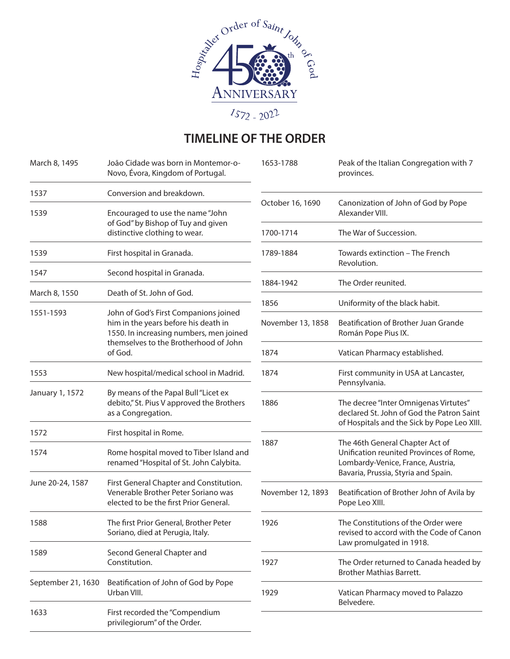

## **TIMELINE OF THE ORDER**

| March 8, 1495      | João Cidade was born in Montemor-o-<br>Novo, Évora, Kingdom of Portugal.                                                 | 1653-1788         | Peak of the Italian Congregation with 7<br>provinces.                                                                                                  |
|--------------------|--------------------------------------------------------------------------------------------------------------------------|-------------------|--------------------------------------------------------------------------------------------------------------------------------------------------------|
| 1537               | Conversion and breakdown.                                                                                                |                   |                                                                                                                                                        |
| 1539               | Encouraged to use the name "John<br>of God" by Bishop of Tuy and given                                                   | October 16, 1690  | Canonization of John of God by Pope<br>Alexander VIII.                                                                                                 |
|                    | distinctive clothing to wear.                                                                                            | 1700-1714         | The War of Succession.                                                                                                                                 |
| 1539               | First hospital in Granada.                                                                                               | 1789-1884         | Towards extinction - The French<br>Revolution.                                                                                                         |
| 1547               | Second hospital in Granada.                                                                                              | 1884-1942         | The Order reunited.                                                                                                                                    |
| March 8, 1550      | Death of St. John of God.                                                                                                |                   |                                                                                                                                                        |
| 1551-1593          | John of God's First Companions joined<br>him in the years before his death in<br>1550. In increasing numbers, men joined | 1856              | Uniformity of the black habit.                                                                                                                         |
|                    |                                                                                                                          | November 13, 1858 | Beatification of Brother Juan Grande<br>Román Pope Pius IX.                                                                                            |
|                    | themselves to the Brotherhood of John<br>of God.                                                                         | 1874              | Vatican Pharmacy established.                                                                                                                          |
| 1553               | New hospital/medical school in Madrid.                                                                                   | 1874              | First community in USA at Lancaster,<br>Pennsylvania.                                                                                                  |
| January 1, 1572    | By means of the Papal Bull "Licet ex<br>debito," St. Pius V approved the Brothers<br>as a Congregation.                  | 1886              | The decree "Inter Omnigenas Virtutes"<br>declared St. John of God the Patron Saint<br>of Hospitals and the Sick by Pope Leo XIII.                      |
| 1572               | First hospital in Rome.                                                                                                  |                   |                                                                                                                                                        |
| 1574               | Rome hospital moved to Tiber Island and<br>renamed "Hospital of St. John Calybita.                                       | 1887              | The 46th General Chapter Act of<br>Unification reunited Provinces of Rome,<br>Lombardy-Venice, France, Austria,<br>Bavaria, Prussia, Styria and Spain. |
| June 20-24, 1587   | First General Chapter and Constitution.<br>Venerable Brother Peter Soriano was<br>elected to be the first Prior General. | November 12, 1893 | Beatification of Brother John of Avila by<br>Pope Leo XIII.                                                                                            |
| 1588               | The first Prior General, Brother Peter<br>Soriano, died at Perugia, Italy.                                               | 1926              | The Constitutions of the Order were<br>revised to accord with the Code of Canon<br>Law promulgated in 1918.                                            |
| 1589               | Second General Chapter and<br>Constitution.                                                                              | 1927              | The Order returned to Canada headed by<br><b>Brother Mathias Barrett.</b>                                                                              |
| September 21, 1630 | Beatification of John of God by Pope<br>Urban VIII.                                                                      | 1929              | Vatican Pharmacy moved to Palazzo<br>Belvedere.                                                                                                        |
| 1633               | First recorded the "Compendium<br>privilegiorum" of the Order.                                                           |                   |                                                                                                                                                        |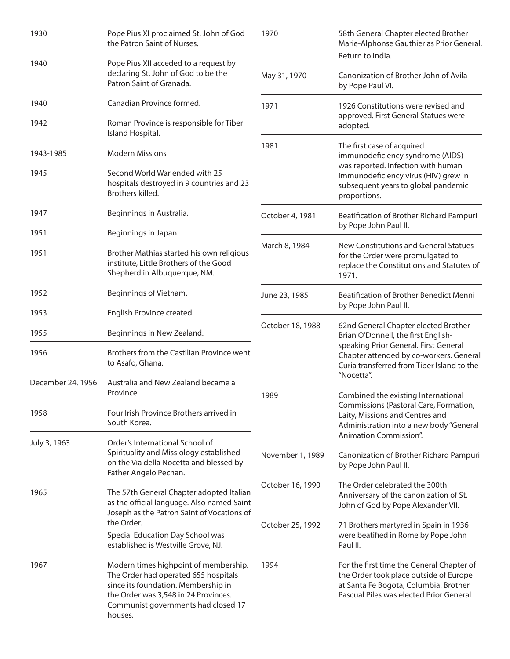| 1930              | Pope Pius XI proclaimed St. John of God<br>the Patron Saint of Nurses.                                                                                                                                                        | 1970                   | 58th General Chapter elected Brother<br>Marie-Alphonse Gauthier as Prior General.<br>Return to India.                                                                                                                                                                             |
|-------------------|-------------------------------------------------------------------------------------------------------------------------------------------------------------------------------------------------------------------------------|------------------------|-----------------------------------------------------------------------------------------------------------------------------------------------------------------------------------------------------------------------------------------------------------------------------------|
| 1940              | Pope Pius XII acceded to a request by<br>declaring St. John of God to be the<br>Patron Saint of Granada.                                                                                                                      | May 31, 1970           | Canonization of Brother John of Avila<br>by Pope Paul VI.                                                                                                                                                                                                                         |
| 1940              | Canadian Province formed.                                                                                                                                                                                                     | 1971                   | 1926 Constitutions were revised and<br>approved. First General Statues were<br>adopted.                                                                                                                                                                                           |
| 1942              | Roman Province is responsible for Tiber<br>Island Hospital.                                                                                                                                                                   |                        |                                                                                                                                                                                                                                                                                   |
| 1943-1985         | <b>Modern Missions</b>                                                                                                                                                                                                        | 1981                   | The first case of acquired<br>immunodeficiency syndrome (AIDS)<br>was reported. Infection with human<br>immunodeficiency virus (HIV) grew in<br>subsequent years to global pandemic<br>proportions.                                                                               |
| 1945              | Second World War ended with 25<br>hospitals destroyed in 9 countries and 23<br>Brothers killed.                                                                                                                               |                        |                                                                                                                                                                                                                                                                                   |
| 1947              | Beginnings in Australia.                                                                                                                                                                                                      | October 4, 1981        | Beatification of Brother Richard Pampuri                                                                                                                                                                                                                                          |
| 1951              | Beginnings in Japan.                                                                                                                                                                                                          |                        | by Pope John Paul II.                                                                                                                                                                                                                                                             |
| 1951              | Brother Mathias started his own religious<br>institute, Little Brothers of the Good<br>Shepherd in Albuquerque, NM.                                                                                                           | March 8, 1984<br>1971. | New Constitutions and General Statues<br>for the Order were promulgated to<br>replace the Constitutions and Statutes of                                                                                                                                                           |
| 1952              | Beginnings of Vietnam.                                                                                                                                                                                                        | June 23, 1985          | Beatification of Brother Benedict Menni<br>by Pope John Paul II.<br>62nd General Chapter elected Brother<br>Brian O'Donnell, the first English-<br>speaking Prior General. First General<br>Chapter attended by co-workers. General<br>Curia transferred from Tiber Island to the |
| 1953              | English Province created.                                                                                                                                                                                                     |                        |                                                                                                                                                                                                                                                                                   |
| 1955              | Beginnings in New Zealand.                                                                                                                                                                                                    | October 18, 1988       |                                                                                                                                                                                                                                                                                   |
| 1956              | Brothers from the Castilian Province went<br>to Asafo, Ghana.                                                                                                                                                                 |                        |                                                                                                                                                                                                                                                                                   |
| December 24, 1956 | Australia and New Zealand became a<br>Province.                                                                                                                                                                               | 1989                   | "Nocetta".<br>Combined the existing International<br>Commissions (Pastoral Care, Formation,<br>Laity, Missions and Centres and<br>Administration into a new body "General<br>Animation Commission".                                                                               |
| 1958              | Four Irish Province Brothers arrived in<br>South Korea.                                                                                                                                                                       |                        |                                                                                                                                                                                                                                                                                   |
| July 3, 1963      | Order's International School of<br>Spirituality and Missiology established<br>on the Via della Nocetta and blessed by<br>Father Angelo Pechan.                                                                                | November 1, 1989       | Canonization of Brother Richard Pampuri<br>by Pope John Paul II.                                                                                                                                                                                                                  |
| 1965              | The 57th General Chapter adopted Italian<br>as the official language. Also named Saint<br>Joseph as the Patron Saint of Vocations of<br>the Order.<br>Special Education Day School was<br>established is Westville Grove, NJ. | October 16, 1990       | The Order celebrated the 300th<br>Anniversary of the canonization of St.<br>John of God by Pope Alexander VII.                                                                                                                                                                    |
|                   |                                                                                                                                                                                                                               | October 25, 1992       | 71 Brothers martyred in Spain in 1936<br>were beatified in Rome by Pope John<br>Paul II.                                                                                                                                                                                          |
| 1967              | Modern times highpoint of membership.<br>The Order had operated 655 hospitals<br>since its foundation. Membership in<br>the Order was 3,548 in 24 Provinces.<br>Communist governments had closed 17<br>houses.                | 1994                   | For the first time the General Chapter of<br>the Order took place outside of Europe<br>at Santa Fe Bogota, Columbia. Brother<br>Pascual Piles was elected Prior General.                                                                                                          |